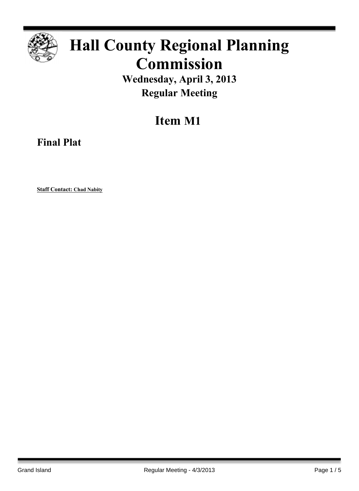

## **Hall County Regional Planning Commission**

**Wednesday, April 3, 2013 Regular Meeting**

**Item M1**

**Final Plat**

**Staff Contact: Chad Nabity**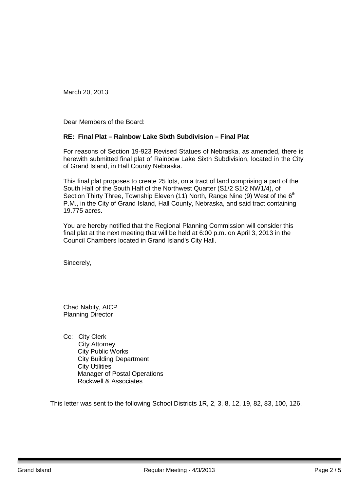March 20, 2013

Dear Members of the Board:

## **RE: Final Plat – Rainbow Lake Sixth Subdivision – Final Plat**

For reasons of Section 19-923 Revised Statues of Nebraska, as amended, there is herewith submitted final plat of Rainbow Lake Sixth Subdivision, located in the City of Grand Island, in Hall County Nebraska.

This final plat proposes to create 25 lots, on a tract of land comprising a part of the South Half of the South Half of the Northwest Quarter (S1/2 S1/2 NW1/4), of Section Thirty Three, Township Eleven (11) North, Range Nine (9) West of the  $6<sup>th</sup>$ P.M., in the City of Grand Island, Hall County, Nebraska, and said tract containing 19.775 acres.

You are hereby notified that the Regional Planning Commission will consider this final plat at the next meeting that will be held at 6:00 p.m. on April 3, 2013 in the Council Chambers located in Grand Island's City Hall.

Sincerely,

Chad Nabity, AICP Planning Director

Cc: City Clerk City Attorney City Public Works City Building Department City Utilities Manager of Postal Operations Rockwell & Associates

This letter was sent to the following School Districts 1R, 2, 3, 8, 12, 19, 82, 83, 100, 126.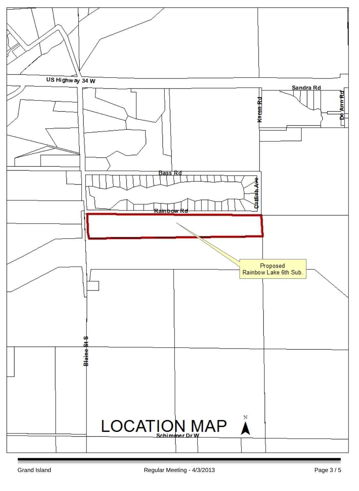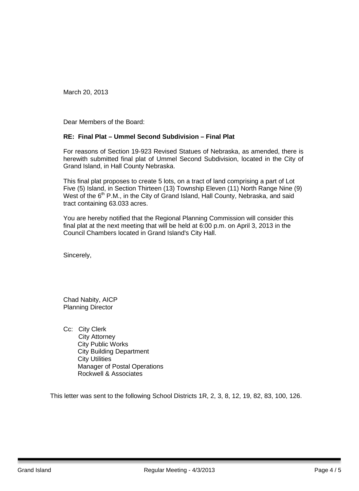March 20, 2013

Dear Members of the Board:

## **RE: Final Plat – Ummel Second Subdivision – Final Plat**

For reasons of Section 19-923 Revised Statues of Nebraska, as amended, there is herewith submitted final plat of Ummel Second Subdivision, located in the City of Grand Island, in Hall County Nebraska.

This final plat proposes to create 5 lots, on a tract of land comprising a part of Lot Five (5) Island, in Section Thirteen (13) Township Eleven (11) North Range Nine (9) West of the 6<sup>th</sup> P.M., in the City of Grand Island, Hall County, Nebraska, and said tract containing 63.033 acres.

You are hereby notified that the Regional Planning Commission will consider this final plat at the next meeting that will be held at 6:00 p.m. on April 3, 2013 in the Council Chambers located in Grand Island's City Hall.

Sincerely,

Chad Nabity, AICP Planning Director

Cc: City Clerk City Attorney City Public Works City Building Department City Utilities Manager of Postal Operations Rockwell & Associates

This letter was sent to the following School Districts 1R, 2, 3, 8, 12, 19, 82, 83, 100, 126.